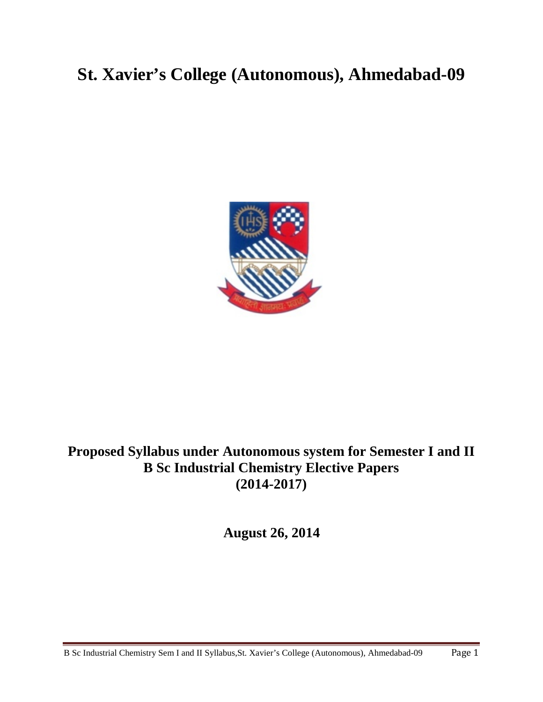# **St. Xavier's College (Autonomous), Ahmedabad-09**



## **Proposed Syllabus under Autonomous system for Semester I and II B Sc Industrial Chemistry Elective Papers (2014-2017)**

**August 26, 2014**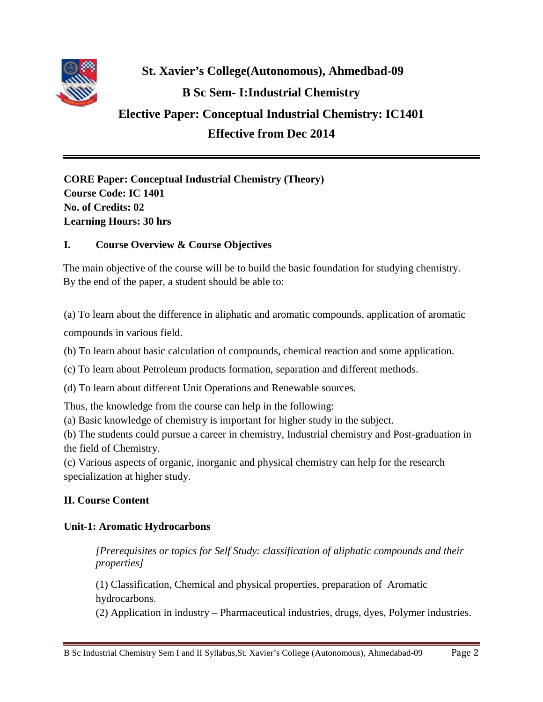

# **St. Xavier's College(Autonomous), Ahmedbad-09 B Sc Sem- I:Industrial Chemistry**

## **Elective Paper: Conceptual Industrial Chemistry: IC1401 Effective from Dec 2014**

**CORE Paper: Conceptual Industrial Chemistry (Theory) Course Code: IC 1401 No. of Credits: 02 Learning Hours: 30 hrs**

## **I. Course Overview & Course Objectives**

The main objective of the course will be to build the basic foundation for studying chemistry. By the end of the paper, a student should be able to:

(a) To learn about the difference in aliphatic and aromatic compounds, application of aromatic compounds in various field.

(b) To learn about basic calculation of compounds, chemical reaction and some application.

(c) To learn about Petroleum products formation, separation and different methods.

(d) To learn about different Unit Operations and Renewable sources.

Thus, the knowledge from the course can help in the following:

(a) Basic knowledge of chemistry is important for higher study in the subject.

(b) The students could pursue a career in chemistry, Industrial chemistry and Post-graduation in the field of Chemistry.

(c) Various aspects of organic, inorganic and physical chemistry can help for the research specialization at higher study.

## **II. Course Content**

## **Unit-1: Aromatic Hydrocarbons**

*[Prerequisites or topics for Self Study: classification of aliphatic compounds and their properties]*

(1) Classification, Chemical and physical properties, preparation of Aromatic hydrocarbons.

(2) Application in industry – Pharmaceutical industries, drugs, dyes, Polymer industries.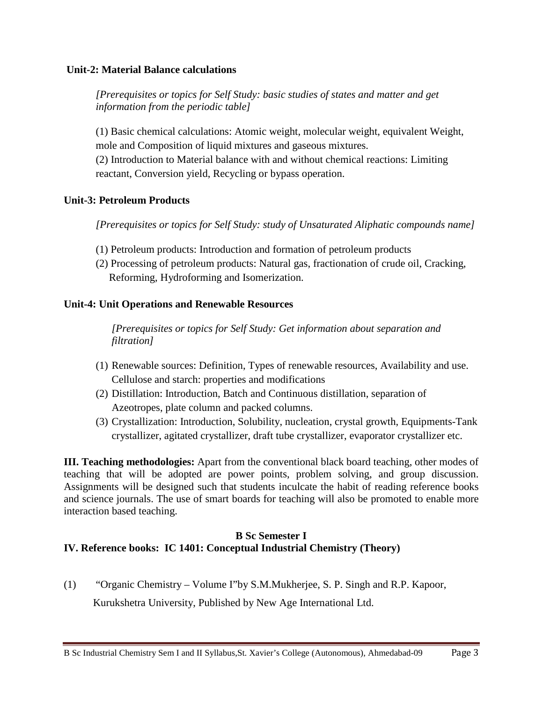### **Unit-2: Material Balance calculations**

*[Prerequisites or topics for Self Study: basic studies of states and matter and get information from the periodic table]*

(1) Basic chemical calculations: Atomic weight, molecular weight, equivalent Weight, mole and Composition of liquid mixtures and gaseous mixtures.

(2) Introduction to Material balance with and without chemical reactions: Limiting reactant, Conversion yield, Recycling or bypass operation.

### **Unit-3: Petroleum Products**

*[Prerequisites or topics for Self Study: study of Unsaturated Aliphatic compounds name]*

- (1) Petroleum products: Introduction and formation of petroleum products
- (2) Processing of petroleum products: Natural gas, fractionation of crude oil, Cracking, Reforming, Hydroforming and Isomerization.

### **Unit-4: Unit Operations and Renewable Resources**

*[Prerequisites or topics for Self Study: Get information about separation and filtration]*

- (1) Renewable sources: Definition, Types of renewable resources, Availability and use. Cellulose and starch: properties and modifications
- (2) Distillation: Introduction, Batch and Continuous distillation, separation of Azeotropes, plate column and packed columns.
- (3) Crystallization: Introduction, Solubility, nucleation, crystal growth, Equipments-Tank crystallizer, agitated crystallizer, draft tube crystallizer, evaporator crystallizer etc.

**III. Teaching methodologies:** Apart from the conventional black board teaching, other modes of teaching that will be adopted are power points, problem solving, and group discussion. Assignments will be designed such that students inculcate the habit of reading reference books and science journals. The use of smart boards for teaching will also be promoted to enable more interaction based teaching.

## **B Sc Semester I IV. Reference books: IC 1401: Conceptual Industrial Chemistry (Theory)**

(1) "Organic Chemistry – Volume I"by S.M.Mukherjee, S. P. Singh and R.P. Kapoor, Kurukshetra University, Published by New Age International Ltd.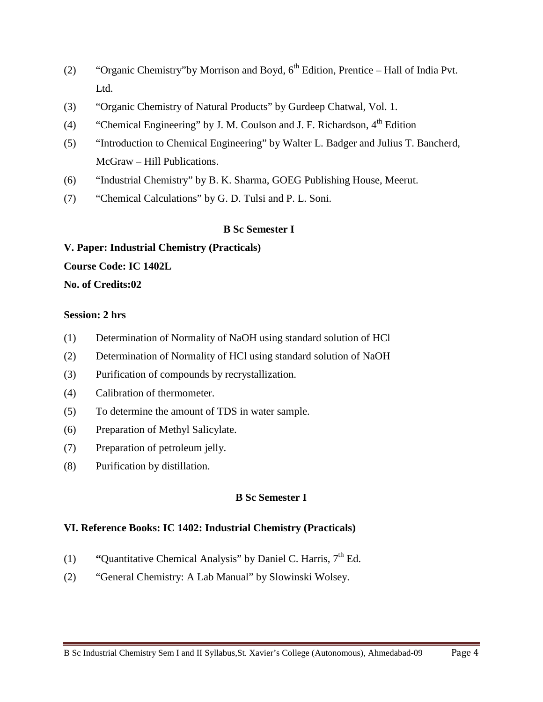- (2) "Organic Chemistry"by Morrison and Boyd,  $6<sup>th</sup>$  Edition, Prentice Hall of India Pvt. Ltd.
- (3) "Organic Chemistry of Natural Products" by Gurdeep Chatwal, Vol. 1.
- (4) "Chemical Engineering" by J. M. Coulson and J. F. Richardson,  $4<sup>th</sup>$  Edition
- (5) "Introduction to Chemical Engineering" by Walter L. Badger and Julius T. Bancherd, McGraw – Hill Publications.
- (6) "Industrial Chemistry" by B. K. Sharma, GOEG Publishing House, Meerut.
- (7) "Chemical Calculations" by G. D. Tulsi and P. L. Soni.

#### **B Sc Semester I**

#### **V. Paper: Industrial Chemistry (Practicals)**

**Course Code: IC 1402L** 

**No. of Credits:02**

#### **Session: 2 hrs**

- (1) Determination of Normality of NaOH using standard solution of HCl
- (2) Determination of Normality of HCl using standard solution of NaOH
- (3) Purification of compounds by recrystallization.
- (4) Calibration of thermometer.
- (5) To determine the amount of TDS in water sample.
- (6) Preparation of Methyl Salicylate.
- (7) Preparation of petroleum jelly.
- (8) Purification by distillation.

### **B Sc Semester I**

#### **VI. Reference Books: IC 1402: Industrial Chemistry (Practicals)**

- (1) **"**Quantitative Chemical Analysis" by Daniel C. Harris,  $7<sup>th</sup>$  Ed.
- (2) "General Chemistry: A Lab Manual" by Slowinski Wolsey.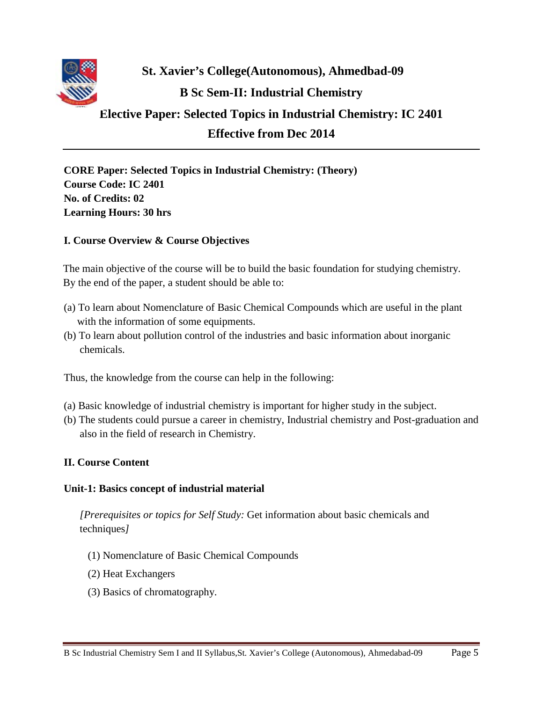

**St. Xavier's College(Autonomous), Ahmedbad-09 B Sc Sem-II: Industrial Chemistry** 

## **Elective Paper: Selected Topics in Industrial Chemistry: IC 2401 Effective from Dec 2014**

**CORE Paper: Selected Topics in Industrial Chemistry: (Theory) Course Code: IC 2401 No. of Credits: 02 Learning Hours: 30 hrs**

## **I. Course Overview & Course Objectives**

The main objective of the course will be to build the basic foundation for studying chemistry. By the end of the paper, a student should be able to:

- (a) To learn about Nomenclature of Basic Chemical Compounds which are useful in the plant with the information of some equipments.
- (b) To learn about pollution control of the industries and basic information about inorganic chemicals.

Thus, the knowledge from the course can help in the following:

- (a) Basic knowledge of industrial chemistry is important for higher study in the subject.
- (b) The students could pursue a career in chemistry, Industrial chemistry and Post-graduation and also in the field of research in Chemistry.

## **II. Course Content**

## **Unit-1: Basics concept of industrial material**

*[Prerequisites or topics for Self Study:* Get information about basic chemicals and techniques*]*

- (1) Nomenclature of Basic Chemical Compounds
- (2) Heat Exchangers
- (3) Basics of chromatography.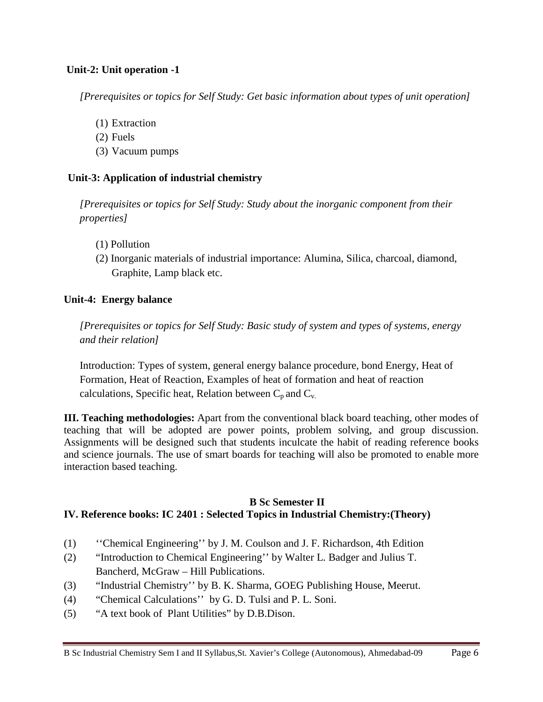## **Unit-2: Unit operation -1**

*[Prerequisites or topics for Self Study: Get basic information about types of unit operation]*

- (1) Extraction
- (2) Fuels
- (3) Vacuum pumps

### **Unit-3: Application of industrial chemistry**

*[Prerequisites or topics for Self Study: Study about the inorganic component from their properties]*

- (1) Pollution
- (2) Inorganic materials of industrial importance: Alumina, Silica, charcoal, diamond, Graphite, Lamp black etc.

### **Unit-4: Energy balance**

*[Prerequisites or topics for Self Study: Basic study of system and types of systems, energy and their relation]*

Introduction: Types of system, general energy balance procedure, bond Energy, Heat of Formation, Heat of Reaction, Examples of heat of formation and heat of reaction calculations, Specific heat, Relation between  $C_p$  and  $C_v$ .

**III. Teaching methodologies:** Apart from the conventional black board teaching, other modes of teaching that will be adopted are power points, problem solving, and group discussion. Assignments will be designed such that students inculcate the habit of reading reference books and science journals. The use of smart boards for teaching will also be promoted to enable more interaction based teaching.

## **B Sc Semester II IV. Reference books: IC 2401 : Selected Topics in Industrial Chemistry:(Theory)**

- (1) ''Chemical Engineering'' by J. M. Coulson and J. F. Richardson, 4th Edition
- (2) "Introduction to Chemical Engineering'' by Walter L. Badger and Julius T. Bancherd, McGraw – Hill Publications.
- (3) "Industrial Chemistry'' by B. K. Sharma, GOEG Publishing House, Meerut.
- (4) "Chemical Calculations'' by G. D. Tulsi and P. L. Soni.
- (5) "A text book of Plant Utilities" by D.B.Dison.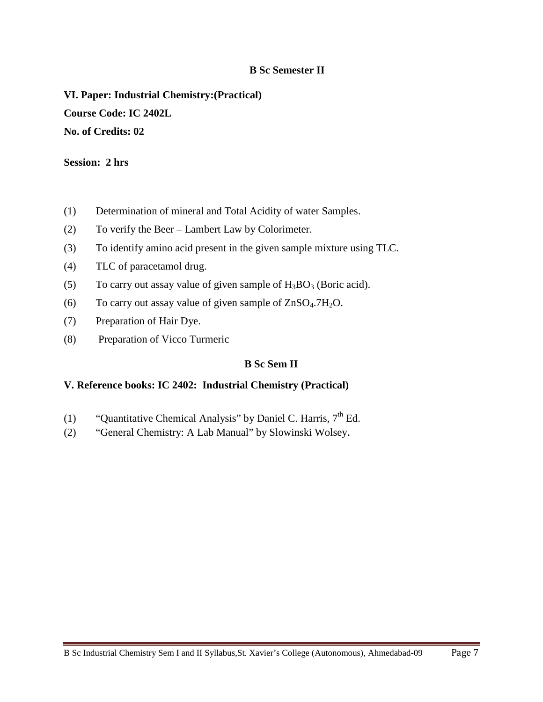## **B Sc Semester II**

**VI. Paper: Industrial Chemistry:(Practical) Course Code: IC 2402L No. of Credits: 02**

#### **Session: 2 hrs**

- (1) Determination of mineral and Total Acidity of water Samples.
- (2) To verify the Beer Lambert Law by Colorimeter.
- (3) To identify amino acid present in the given sample mixture using TLC.
- (4) TLC of paracetamol drug.
- (5) To carry out assay value of given sample of  $H_3BO_3$  (Boric acid).
- (6) To carry out assay value of given sample of  $ZnSO<sub>4</sub>$ .7H<sub>2</sub>O.
- (7) Preparation of Hair Dye.
- (8) Preparation of Vicco Turmeric

## **B Sc Sem II**

#### **V. Reference books: IC 2402: Industrial Chemistry (Practical)**

- (1) "Quantitative Chemical Analysis" by Daniel C. Harris,  $7<sup>th</sup>$  Ed.
- (2) "General Chemistry: A Lab Manual" by Slowinski Wolsey.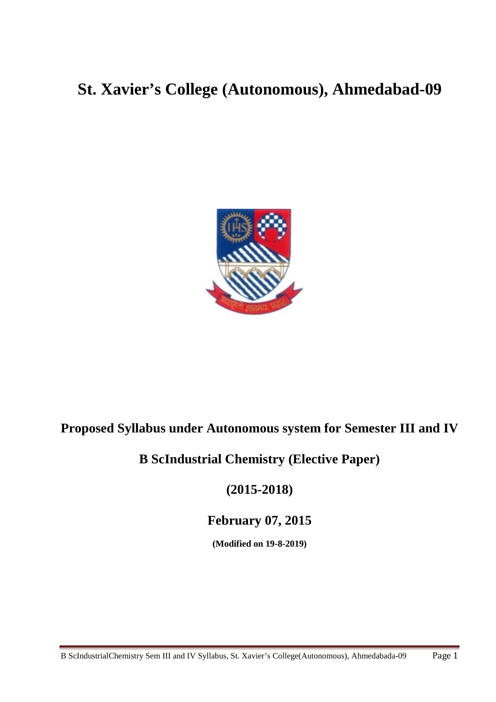# **St. Xavier's College (Autonomous), Ahmedabad-09**



## **Proposed Syllabus under Autonomous system for Semester III and IV**

## **B ScIndustrial Chemistry (Elective Paper)**

## **(2015-2018)**

## **February 07, 2015**

**(Modified on 19-8-2019)**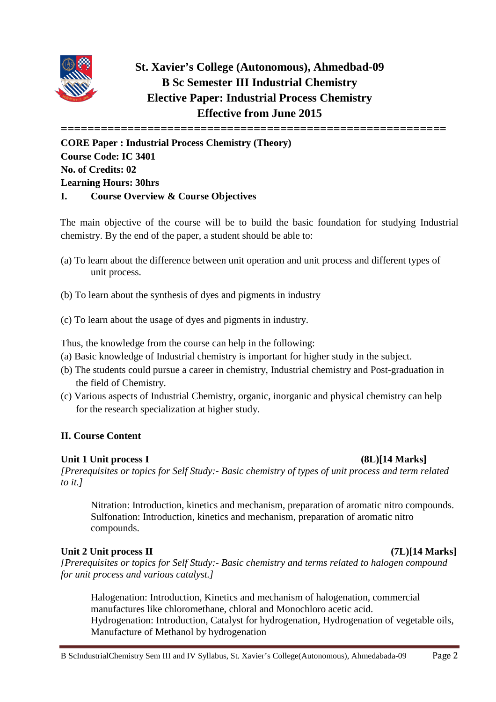

## **St. Xavier's College (Autonomous), Ahmedbad-09 B Sc Semester III Industrial Chemistry Elective Paper: Industrial Process Chemistry Effective from June 2015**

**==========================================================**

**CORE Paper : Industrial Process Chemistry (Theory) Course Code: IC 3401 No. of Credits: 02 Learning Hours: 30hrs I. Course Overview & Course Objectives**

The main objective of the course will be to build the basic foundation for studying Industrial chemistry. By the end of the paper, a student should be able to:

- (a) To learn about the difference between unit operation and unit process and different types of unit process.
- (b) To learn about the synthesis of dyes and pigments in industry
- (c) To learn about the usage of dyes and pigments in industry.

Thus, the knowledge from the course can help in the following:

- (a) Basic knowledge of Industrial chemistry is important for higher study in the subject.
- (b) The students could pursue a career in chemistry, Industrial chemistry and Post-graduation in the field of Chemistry.
- (c) Various aspects of Industrial Chemistry, organic, inorganic and physical chemistry can help for the research specialization at higher study.

## **II. Course Content**

## **Unit 1 Unit process I (8L)[14 Marks]**

*[Prerequisites or topics for Self Study:- Basic chemistry of types of unit process and term related to it.]*

Nitration: Introduction, kinetics and mechanism, preparation of aromatic nitro compounds. Sulfonation: Introduction, kinetics and mechanism, preparation of aromatic nitro compounds.

## Unit 2 Unit process II *(7L)* [14 Marks]

*[Prerequisites or topics for Self Study:- Basic chemistry and terms related to halogen compound for unit process and various catalyst.]*

Halogenation: Introduction, Kinetics and mechanism of halogenation, commercial manufactures like chloromethane, chloral and Monochloro acetic acid. Hydrogenation: Introduction, Catalyst for hydrogenation, Hydrogenation of vegetable oils, Manufacture of Methanol by hydrogenation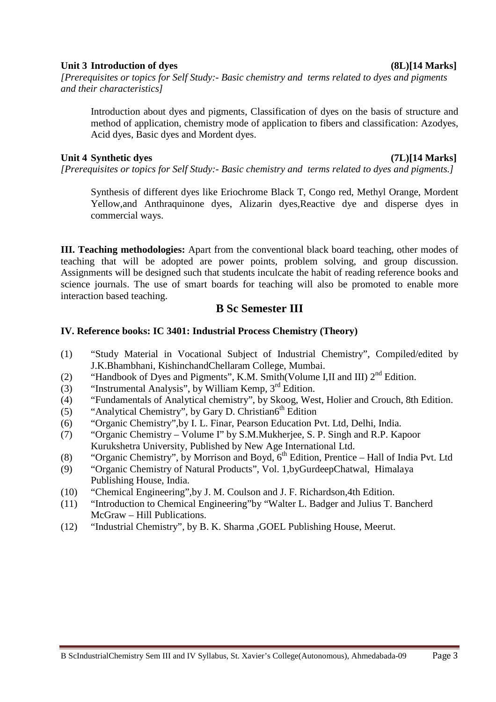## **Unit 3 Introduction of dyes (8L)[14 Marks]**

*[Prerequisites or topics for Self Study:- Basic chemistry and terms related to dyes and pigments and their characteristics]*

Introduction about dyes and pigments, Classification of dyes on the basis of structure and method of application, chemistry mode of application to fibers and classification: Azodyes, Acid dyes, Basic dyes and Mordent dyes.

## **Unit 4 Synthetic dyes (7L)[14 Marks]**

*[Prerequisites or topics for Self Study:- Basic chemistry and terms related to dyes and pigments.]*

Synthesis of different dyes like Eriochrome Black T, Congo red, Methyl Orange, Mordent Yellow,and Anthraquinone dyes, Alizarin dyes,Reactive dye and disperse dyes in commercial ways.

**III. Teaching methodologies:** Apart from the conventional black board teaching, other modes of teaching that will be adopted are power points, problem solving, and group discussion. Assignments will be designed such that students inculcate the habit of reading reference books and science journals. The use of smart boards for teaching will also be promoted to enable more interaction based teaching.

## **B Sc Semester III**

## **IV. Reference books: IC 3401: Industrial Process Chemistry (Theory)**

- (1) "Study Material in Vocational Subject of Industrial Chemistry", Compiled/edited by J.K.Bhambhani, KishinchandChellaram College, Mumbai.
- (2) "Handbook of Dyes and Pigments", K.M. Smith(Volume I,II and III)  $2<sup>nd</sup>$  Edition.
- (3) "Instrumental Analysis", by William Kemp,  $3<sup>rd</sup>$  Edition.
- (4) "Fundamentals of Analytical chemistry", by Skoog, West, Holier and Crouch, 8th Edition.
- (5) "Analytical Chemistry", by Gary D. Christian6<sup>th</sup> Edition
- (6) "Organic Chemistry",by I. L. Finar, Pearson Education Pvt. Ltd, Delhi, India.
- (7) "Organic Chemistry Volume I" by S.M.Mukherjee, S. P. Singh and R.P. Kapoor Kurukshetra University, Published by New Age International Ltd.
- (8) "Organic Chemistry", by Morrison and Boyd,  $6<sup>th</sup>$  Edition, Prentice Hall of India Pvt. Ltd
- (9) "Organic Chemistry of Natural Products", Vol. 1,byGurdeepChatwal, Himalaya Publishing House, India.
- (10) "Chemical Engineering",by J. M. Coulson and J. F. Richardson,4th Edition.
- (11) "Introduction to Chemical Engineering"by "Walter L. Badger and Julius T. Bancherd McGraw – Hill Publications.
- (12) "Industrial Chemistry", by B. K. Sharma ,GOEL Publishing House, Meerut.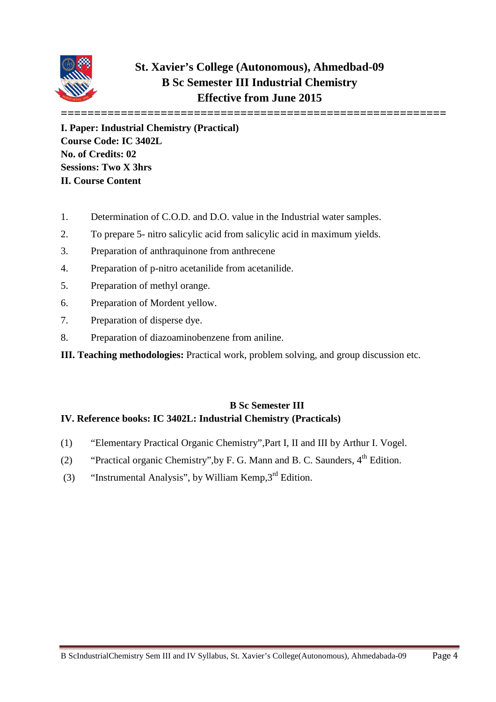

## **St. Xavier's College (Autonomous), Ahmedbad-09 B Sc Semester III Industrial Chemistry Effective from June 2015**

**========================================================== I. Paper: Industrial Chemistry (Practical) Course Code: IC 3402L No. of Credits: 02 Sessions: Two X 3hrs II. Course Content**

- 1. Determination of C.O.D. and D.O. value in the Industrial water samples.
- 2. To prepare 5- nitro salicylic acid from salicylic acid in maximum yields.
- 3. Preparation of anthraquinone from anthrecene
- 4. Preparation of p-nitro acetanilide from acetanilide.
- 5. Preparation of methyl orange.
- 6. Preparation of Mordent yellow.
- 7. Preparation of disperse dye.
- 8. Preparation of diazoaminobenzene from aniline.
- **III. Teaching methodologies:** Practical work, problem solving, and group discussion etc.

## **B Sc Semester III IV. Reference books: IC 3402L: Industrial Chemistry (Practicals)**

- (1) "Elementary Practical Organic Chemistry",Part I, II and III by Arthur I. Vogel.
- (2) "Practical organic Chemistry", by F. G. Mann and B. C. Saunders,  $4<sup>th</sup>$  Edition.
- (3) "Instrumental Analysis", by William Kemp, $3<sup>rd</sup>$  Edition.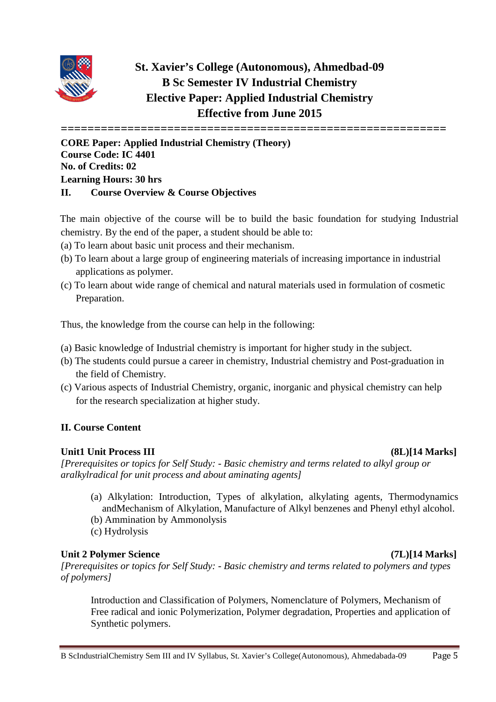

## **St. Xavier's College (Autonomous), Ahmedbad-09 B Sc Semester IV Industrial Chemistry Elective Paper: Applied Industrial Chemistry Effective from June 2015**

**==========================================================**

**CORE Paper: Applied Industrial Chemistry (Theory) Course Code: IC 4401 No. of Credits: 02 Learning Hours: 30 hrs II. Course Overview & Course Objectives**

The main objective of the course will be to build the basic foundation for studying Industrial chemistry. By the end of the paper, a student should be able to:

- (a) To learn about basic unit process and their mechanism.
- (b) To learn about a large group of engineering materials of increasing importance in industrial applications as polymer.
- (c) To learn about wide range of chemical and natural materials used in formulation of cosmetic Preparation.

Thus, the knowledge from the course can help in the following:

- (a) Basic knowledge of Industrial chemistry is important for higher study in the subject.
- (b) The students could pursue a career in chemistry, Industrial chemistry and Post-graduation in the field of Chemistry.
- (c) Various aspects of Industrial Chemistry, organic, inorganic and physical chemistry can help for the research specialization at higher study.

## **II. Course Content**

## **Unit1 Unit Process III (8L)[14 Marks]**

*[Prerequisites or topics for Self Study: - Basic chemistry and terms related to alkyl group or aralkylradical for unit process and about aminating agents]*

- (a) Alkylation: Introduction, Types of alkylation, alkylating agents, Thermodynamics andMechanism of Alkylation, Manufacture of Alkyl benzenes and Phenyl ethyl alcohol.
- (b) Ammination by Ammonolysis
- (c) Hydrolysis

## **Unit 2 Polymer Science (7L)[14 Marks]**

*[Prerequisites or topics for Self Study: - Basic chemistry and terms related to polymers and types of polymers]*

Introduction and Classification of Polymers, Nomenclature of Polymers, Mechanism of Free radical and ionic Polymerization, Polymer degradation, Properties and application of Synthetic polymers.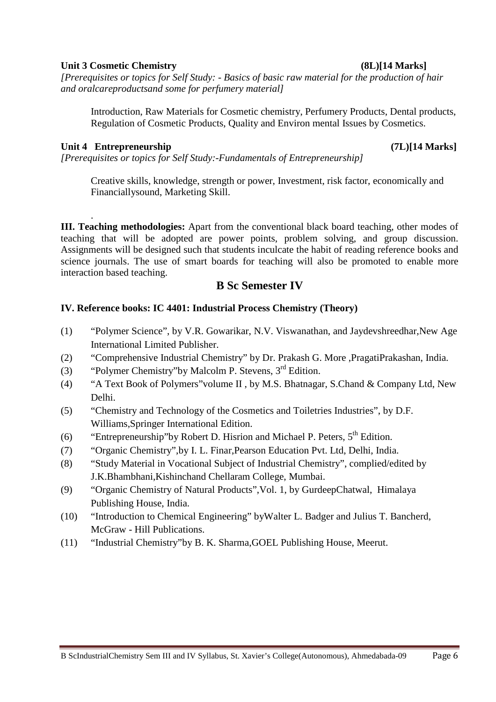### **Unit 3 Cosmetic Chemistry (8L)[14 Marks]**

*[Prerequisites or topics for Self Study: - Basics of basic raw material for the production of hair and oralcareproductsand some for perfumery material]*

Introduction, Raw Materials for Cosmetic chemistry, Perfumery Products, Dental products, Regulation of Cosmetic Products, Quality and Environ mental Issues by Cosmetics.

## **Unit 4 Entrepreneurship (7L)[14 Marks]**

*[Prerequisites or topics for Self Study:-Fundamentals of Entrepreneurship]*

Creative skills, knowledge, strength or power, Investment, risk factor, economically and Financiallysound, Marketing Skill.

. **III. Teaching methodologies:** Apart from the conventional black board teaching, other modes of teaching that will be adopted are power points, problem solving, and group discussion. Assignments will be designed such that students inculcate the habit of reading reference books and science journals. The use of smart boards for teaching will also be promoted to enable more interaction based teaching.

## **B Sc Semester IV**

## **IV. Reference books: IC 4401: Industrial Process Chemistry (Theory)**

- (1) "Polymer Science", by V.R. Gowarikar, N.V. Viswanathan, and Jaydevshreedhar,New Age International Limited Publisher.
- (2) "Comprehensive Industrial Chemistry" by Dr. Prakash G. More ,PragatiPrakashan, India.
- (3) "Polymer Chemistry"by Malcolm P. Stevens, 3rd Edition.
- (4) "A Text Book of Polymers"volume II , by M.S. Bhatnagar, S.Chand & Company Ltd, New Delhi.
- (5) "Chemistry and Technology of the Cosmetics and Toiletries Industries", by D.F. Williams,Springer International Edition.
- (6) "Entrepreneurship" by Robert D. Hisrion and Michael P. Peters,  $5<sup>th</sup>$  Edition.
- (7) "Organic Chemistry",by I. L. Finar,Pearson Education Pvt. Ltd, Delhi, India.
- (8) "Study Material in Vocational Subject of Industrial Chemistry", complied/edited by J.K.Bhambhani,Kishinchand Chellaram College, Mumbai.
- (9) "Organic Chemistry of Natural Products",Vol. 1, by GurdeepChatwal, Himalaya Publishing House, India.
- (10) "Introduction to Chemical Engineering" byWalter L. Badger and Julius T. Bancherd, McGraw - Hill Publications.
- (11) "Industrial Chemistry"by B. K. Sharma,GOEL Publishing House, Meerut.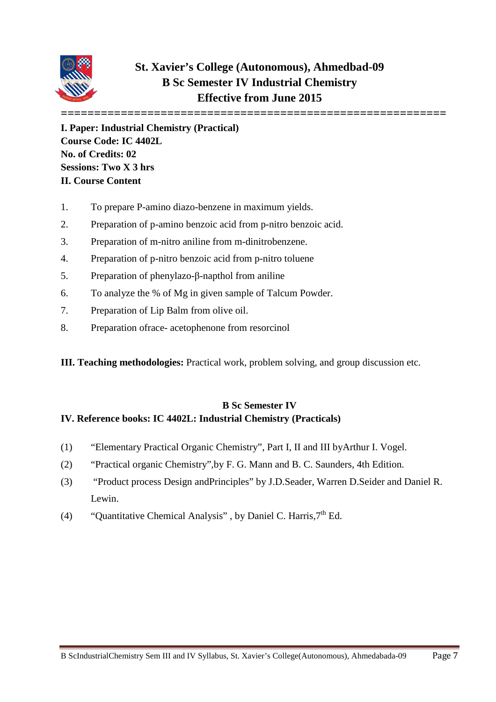

## **St. Xavier's College (Autonomous), Ahmedbad-09 B Sc Semester IV Industrial Chemistry Effective from June 2015**

**========================================================== I. Paper: Industrial Chemistry (Practical) Course Code: IC 4402L No. of Credits: 02 Sessions: Two X 3 hrs II. Course Content**

- 1. To prepare P-amino diazo-benzene in maximum yields.
- 2. Preparation of p-amino benzoic acid from p-nitro benzoic acid.
- 3. Preparation of m-nitro aniline from m-dinitrobenzene.
- 4. Preparation of p-nitro benzoic acid from p-nitro toluene
- 5. Preparation of phenylazo-β-napthol from aniline
- 6. To analyze the % of Mg in given sample of Talcum Powder.
- 7. Preparation of Lip Balm from olive oil.
- 8. Preparation ofrace- acetophenone from resorcinol
- **III. Teaching methodologies:** Practical work, problem solving, and group discussion etc.

## **B Sc Semester IV IV. Reference books: IC 4402L: Industrial Chemistry (Practicals)**

- (1) "Elementary Practical Organic Chemistry", Part I, II and III byArthur I. Vogel.
- (2) "Practical organic Chemistry",by F. G. Mann and B. C. Saunders, 4th Edition.
- (3) "Product process Design andPrinciples" by J.D.Seader, Warren D.Seider and Daniel R. Lewin.
- (4) "Ouantitative Chemical Analysis", by Daniel C. Harris,  $7<sup>th</sup>$  Ed.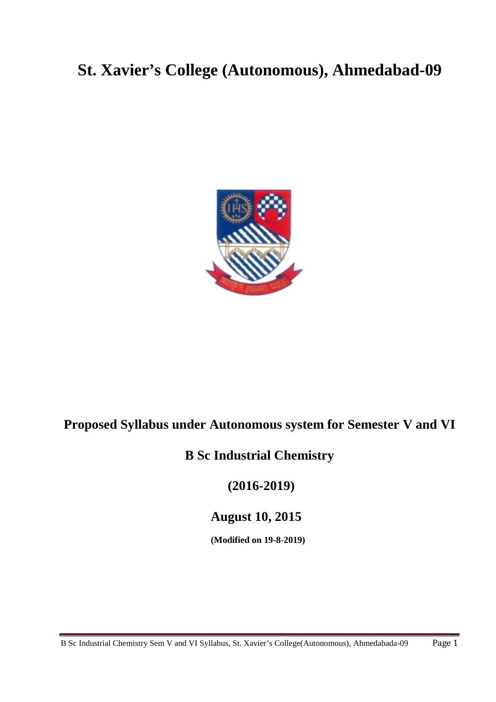# **St. Xavier's College (Autonomous), Ahmedabad-09**



## **Proposed Syllabus under Autonomous system for Semester V and VI**

## **B Sc Industrial Chemistry**

**(2016-2019)**

**August 10, 2015**

**(Modified on 19-8-2019)**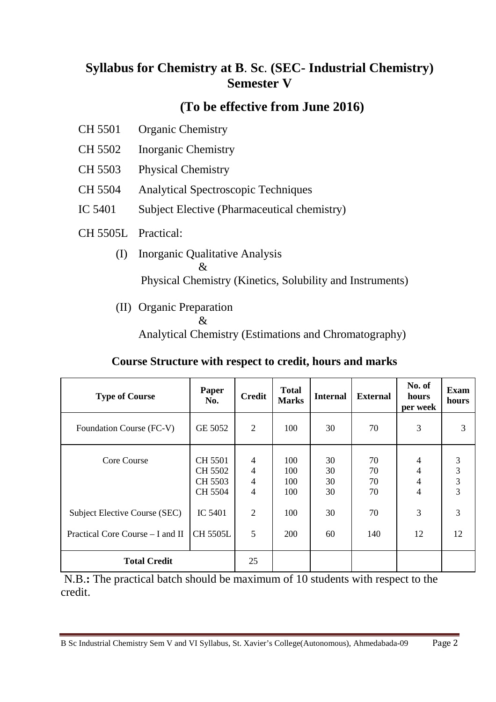## **Syllabus for Chemistry at B**. **Sc**. **(SEC- Industrial Chemistry) Semester V**

## **(To be effective from June 2016)**

- CH 5501 Organic Chemistry
- CH 5502 Inorganic Chemistry
- CH 5503 Physical Chemistry
- CH 5504 Analytical Spectroscopic Techniques
- IC 5401 Subject Elective (Pharmaceutical chemistry)
- CH 5505L Practical:
	- (I) Inorganic Qualitative Analysis  $\mathcal{R}_{\mathcal{L}}$ Physical Chemistry (Kinetics, Solubility and Instruments)
	- (II) Organic Preparation
		- &

Analytical Chemistry (Estimations and Chromatography)

## **Course Structure with respect to credit, hours and marks**

| <b>Type of Course</b>            | Paper<br>No.                                    | <b>Credit</b>                                           | <b>Total</b><br><b>Marks</b> | <b>Internal</b>      | <b>External</b>      | No. of<br>hours<br>per week   | <b>Exam</b><br>hours          |
|----------------------------------|-------------------------------------------------|---------------------------------------------------------|------------------------------|----------------------|----------------------|-------------------------------|-------------------------------|
| Foundation Course (FC-V)         | GE 5052                                         | $\overline{2}$                                          | 100                          | 30                   | 70                   | 3                             | 3                             |
| Core Course                      | <b>CH 5501</b><br>CH 5502<br>CH 5503<br>CH 5504 | 4<br>$\overline{4}$<br>$\overline{4}$<br>$\overline{4}$ | 100<br>100<br>100<br>100     | 30<br>30<br>30<br>30 | 70<br>70<br>70<br>70 | 4<br>4<br>4<br>$\overline{4}$ | 3<br>3<br>3<br>$\overline{3}$ |
| Subject Elective Course (SEC)    | IC 5401                                         | 2                                                       | 100                          | 30                   | 70                   | 3                             | 3                             |
| Practical Core Course – I and II | <b>CH 5505L</b>                                 | 5                                                       | <b>200</b>                   | 60                   | 140                  | 12                            | 12                            |
| <b>Total Credit</b>              |                                                 | 25                                                      |                              |                      |                      |                               |                               |

N.B.**:** The practical batch should be maximum of 10 students with respect to the credit.

B Sc Industrial Chemistry Sem V and VI Syllabus, St. Xavier's College(Autonomous), Ahmedabada-09 Page 2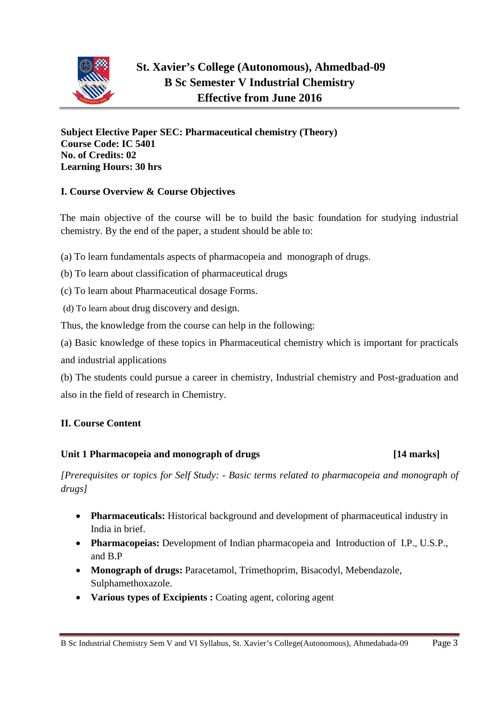

## **St. Xavier's College (Autonomous), Ahmedbad-09 B Sc Semester V Industrial Chemistry Effective from June 2016**

**Subject Elective Paper SEC: Pharmaceutical chemistry (Theory) Course Code: IC 5401 No. of Credits: 02 Learning Hours: 30 hrs**

## **I. Course Overview & Course Objectives**

The main objective of the course will be to build the basic foundation for studying industrial chemistry. By the end of the paper, a student should be able to:

(a) To learn fundamentals aspects of pharmacopeia and monograph of drugs.

- (b) To learn about classification of pharmaceutical drugs
- (c) To learn about Pharmaceutical dosage Forms.
- (d) To learn about drug discovery and design.

Thus, the knowledge from the course can help in the following:

(a) Basic knowledge of these topics in Pharmaceutical chemistry which is important for practicals and industrial applications

(b) The students could pursue a career in chemistry, Industrial chemistry and Post-graduation and also in the field of research in Chemistry.

## **II. Course Content**

## **Unit 1 Pharmacopeia and monograph of drugs [14 marks]**

## *[Prerequisites or topics for Self Study: - Basic terms related to pharmacopeia and monograph of drugs]*

- **Pharmaceuticals:** Historical background and development of pharmaceutical industry in India in brief.
- **Pharmacopeias:** Development of Indian pharmacopeia and Introduction of I.P., U.S.P., and B.P
- **Monograph of drugs:** Paracetamol, Trimethoprim, Bisacodyl, Mebendazole, Sulphamethoxazole.
- **Various types of Excipients :** Coating agent, coloring agent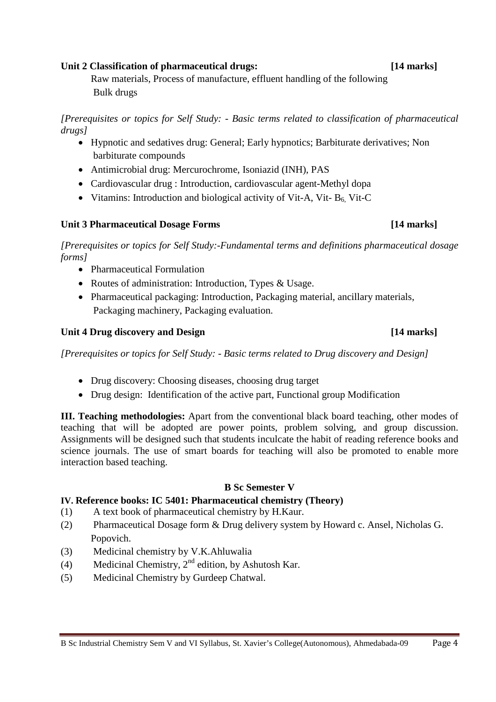#### **Unit 2 Classification of pharmaceutical drugs: [14 marks]**

Raw materials, Process of manufacture, effluent handling of the following Bulk drugs

*[Prerequisites or topics for Self Study: - Basic terms related to classification of pharmaceutical drugs]*

- Hypnotic and sedatives drug: General; Early hypnotics; Barbiturate derivatives; Non barbiturate compounds
- Antimicrobial drug: Mercurochrome, Isoniazid (INH), PAS
- Cardiovascular drug : Introduction, cardiovascular agent-Methyl dopa
- Vitamins: Introduction and biological activity of Vit-A, Vit-  $B_6$  Vit-C

## **Unit 3 Pharmaceutical Dosage Forms [14 marks]**

*[Prerequisites or topics for Self Study:-Fundamental terms and definitions pharmaceutical dosage forms]*

- Pharmaceutical Formulation
- Routes of administration: Introduction, Types & Usage.
- Pharmaceutical packaging: Introduction, Packaging material, ancillary materials, Packaging machinery, Packaging evaluation.

## **Unit 4 Drug discovery and Design [14 marks]**

*[Prerequisites or topics for Self Study: - Basic terms related to Drug discovery and Design]*

- Drug discovery: Choosing diseases, choosing drug target
- Drug design: Identification of the active part, Functional group Modification

**III. Teaching methodologies:** Apart from the conventional black board teaching, other modes of teaching that will be adopted are power points, problem solving, and group discussion. Assignments will be designed such that students inculcate the habit of reading reference books and science journals. The use of smart boards for teaching will also be promoted to enable more interaction based teaching.

## **B Sc Semester V**

## **IV. Reference books: IC 5401: Pharmaceutical chemistry (Theory)**

- (1) A text book of pharmaceutical chemistry by H.Kaur.
- (2) Pharmaceutical Dosage form & Drug delivery system by Howard c. Ansel, Nicholas G. Popovich.
- (3) Medicinal chemistry by V.K.Ahluwalia
- (4) Medicinal Chemistry,  $2^{nd}$  edition, by Ashutosh Kar.
- (5) Medicinal Chemistry by Gurdeep Chatwal.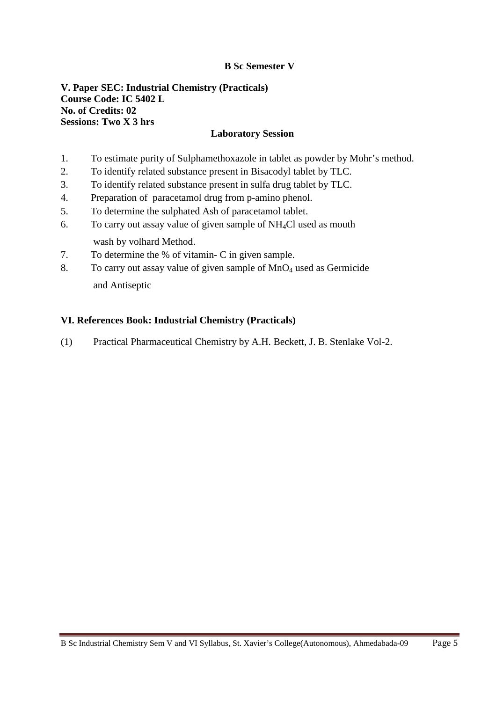## **B Sc Semester V**

## **V. Paper SEC: Industrial Chemistry (Practicals) Course Code: IC 5402 L No. of Credits: 02 Sessions: Two X 3 hrs**

## **Laboratory Session**

- 1. To estimate purity of Sulphamethoxazole in tablet as powder by Mohr's method.
- 2. To identify related substance present in Bisacodyl tablet by TLC.
- 3. To identify related substance present in sulfa drug tablet by TLC.
- 4. Preparation of paracetamol drug from p-amino phenol.
- 5. To determine the sulphated Ash of paracetamol tablet.
- 6. To carry out assay value of given sample of NH4Cl used as mouth wash by volhard Method.
- 7. To determine the % of vitamin- C in given sample.
- 8. To carry out assay value of given sample of MnO<sub>4</sub> used as Germicide and Antiseptic

#### **VI. References Book: Industrial Chemistry (Practicals)**

(1) Practical Pharmaceutical Chemistry by A.H. Beckett, J. B. Stenlake Vol-2.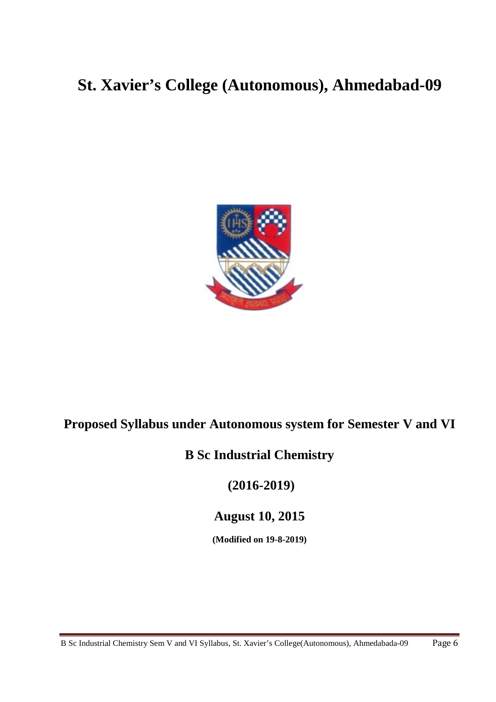# **St. Xavier's College (Autonomous), Ahmedabad-09**



## **Proposed Syllabus under Autonomous system for Semester V and VI**

## **B Sc Industrial Chemistry**

**(2016-2019)**

**August 10, 2015**

**(Modified on 19-8-2019)**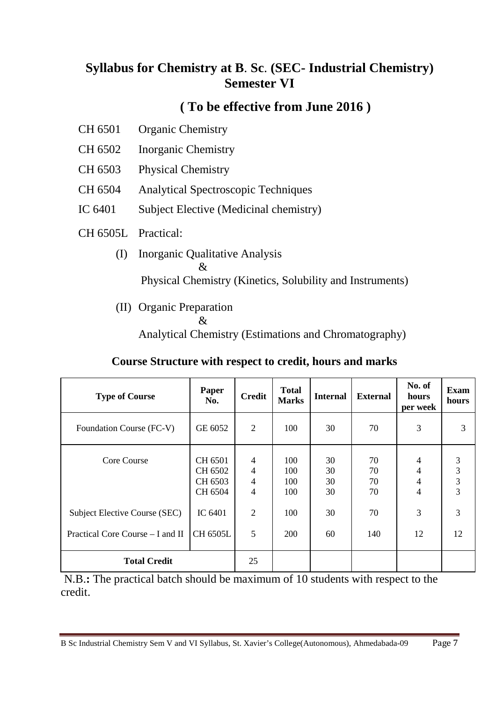## **Syllabus for Chemistry at B**. **Sc**. **(SEC- Industrial Chemistry) Semester VI**

## **( To be effective from June 2016 )**

- CH 6501 Organic Chemistry
- CH 6502 Inorganic Chemistry
- CH 6503 Physical Chemistry
- CH 6504 Analytical Spectroscopic Techniques
- IC 6401 Subject Elective (Medicinal chemistry)
- CH 6505L Practical:
	- (I) Inorganic Qualitative Analysis  $\mathcal{R}_{\mathcal{L}}$ Physical Chemistry (Kinetics, Solubility and Instruments)
	- (II) Organic Preparation
		- &

Analytical Chemistry (Estimations and Chromatography)

## **Course Structure with respect to credit, hours and marks**

| <b>Type of Course</b>                                             | Paper<br>No.                             | <b>Credit</b>                                           | <b>Total</b><br><b>Marks</b> | <b>Internal</b>      | <b>External</b>      | No. of<br>hours<br>per week   | <b>Exam</b><br>hours |
|-------------------------------------------------------------------|------------------------------------------|---------------------------------------------------------|------------------------------|----------------------|----------------------|-------------------------------|----------------------|
| Foundation Course (FC-V)                                          | GE 6052                                  | $\overline{2}$                                          | 100                          | 30                   | 70                   | 3                             | 3                    |
| Core Course                                                       | CH 6501<br>CH 6502<br>CH 6503<br>CH 6504 | 4<br>$\overline{4}$<br>$\overline{4}$<br>$\overline{4}$ | 100<br>100<br>100<br>100     | 30<br>30<br>30<br>30 | 70<br>70<br>70<br>70 | 4<br>4<br>4<br>$\overline{4}$ | 3<br>3<br>3<br>3     |
| Subject Elective Course (SEC)<br>Practical Core Course – I and II | IC 6401<br>CH 6505L                      | $\overline{2}$<br>5                                     | 100<br><b>200</b>            | 30<br>60             | 70<br>140            | 3<br>12                       | 3<br>12              |
| <b>Total Credit</b>                                               |                                          | 25                                                      |                              |                      |                      |                               |                      |

N.B.**:** The practical batch should be maximum of 10 students with respect to the credit.

B Sc Industrial Chemistry Sem V and VI Syllabus, St. Xavier's College(Autonomous), Ahmedabada-09 Page 7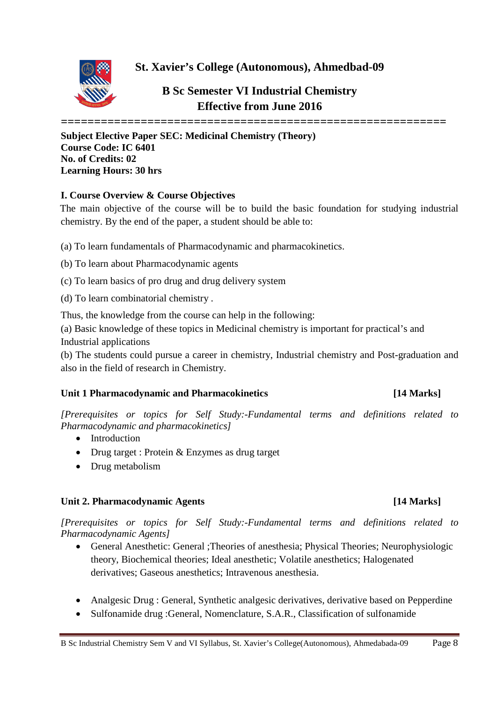**St. Xavier's College (Autonomous), Ahmedbad-09**



**B Sc Semester VI Industrial Chemistry Effective from June 2016**

**==========================================================**

**Subject Elective Paper SEC: Medicinal Chemistry (Theory) Course Code: IC 6401 No. of Credits: 02 Learning Hours: 30 hrs**

### **I. Course Overview & Course Objectives**

The main objective of the course will be to build the basic foundation for studying industrial chemistry. By the end of the paper, a student should be able to:

- (a) To learn fundamentals of Pharmacodynamic and pharmacokinetics.
- (b) To learn about Pharmacodynamic agents
- (c) To learn basics of pro drug and drug delivery system
- (d) To learn combinatorial chemistry .

Thus, the knowledge from the course can help in the following:

(a) Basic knowledge of these topics in Medicinal chemistry is important for practical's and Industrial applications

(b) The students could pursue a career in chemistry, Industrial chemistry and Post-graduation and also in the field of research in Chemistry.

## **Unit 1 Pharmacodynamic and Pharmacokinetics [14 Marks]**

*[Prerequisites or topics for Self Study:-Fundamental terms and definitions related to Pharmacodynamic and pharmacokinetics]*

- Introduction
- Drug target : Protein & Enzymes as drug target
- Drug metabolism

## **Unit 2. Pharmacodynamic Agents [14 Marks]**

*[Prerequisites or topics for Self Study:-Fundamental terms and definitions related to Pharmacodynamic Agents]*

- General Anesthetic: General ;Theories of anesthesia; Physical Theories; Neurophysiologic theory, Biochemical theories; Ideal anesthetic; Volatile anesthetics; Halogenated derivatives; Gaseous anesthetics; Intravenous anesthesia.
- Analgesic Drug : General, Synthetic analgesic derivatives, derivative based on Pepperdine
- Sulfonamide drug :General, Nomenclature, S.A.R., Classification of sulfonamide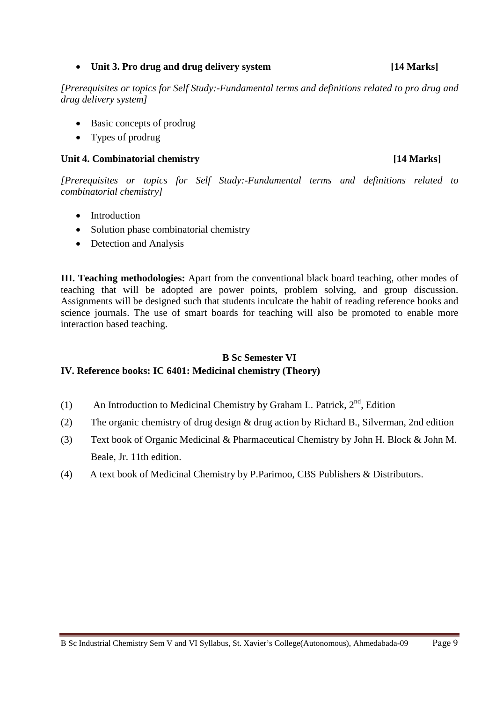### • **Unit 3. Pro drug and drug delivery system [14 Marks]**

*[Prerequisites or topics for Self Study:-Fundamental terms and definitions related to pro drug and drug delivery system]*

- Basic concepts of prodrug
- Types of prodrug

## **Unit 4. Combinatorial chemistry [14 Marks]**

*[Prerequisites or topics for Self Study:-Fundamental terms and definitions related to combinatorial chemistry]*

- Introduction
- Solution phase combinatorial chemistry
- Detection and Analysis

**III. Teaching methodologies:** Apart from the conventional black board teaching, other modes of teaching that will be adopted are power points, problem solving, and group discussion. Assignments will be designed such that students inculcate the habit of reading reference books and science journals. The use of smart boards for teaching will also be promoted to enable more interaction based teaching.

## **B Sc Semester VI**

## **IV. Reference books: IC 6401: Medicinal chemistry (Theory)**

- (1) An Introduction to Medicinal Chemistry by Graham L. Patrick,  $2<sup>nd</sup>$ , Edition
- (2) The organic chemistry of drug design & drug action by Richard B., Silverman, 2nd edition
- (3) Text book of Organic Medicinal & Pharmaceutical Chemistry by John H. Block & John M. Beale, Jr. 11th edition.
- (4) A text book of Medicinal Chemistry by P.Parimoo, CBS Publishers & Distributors.